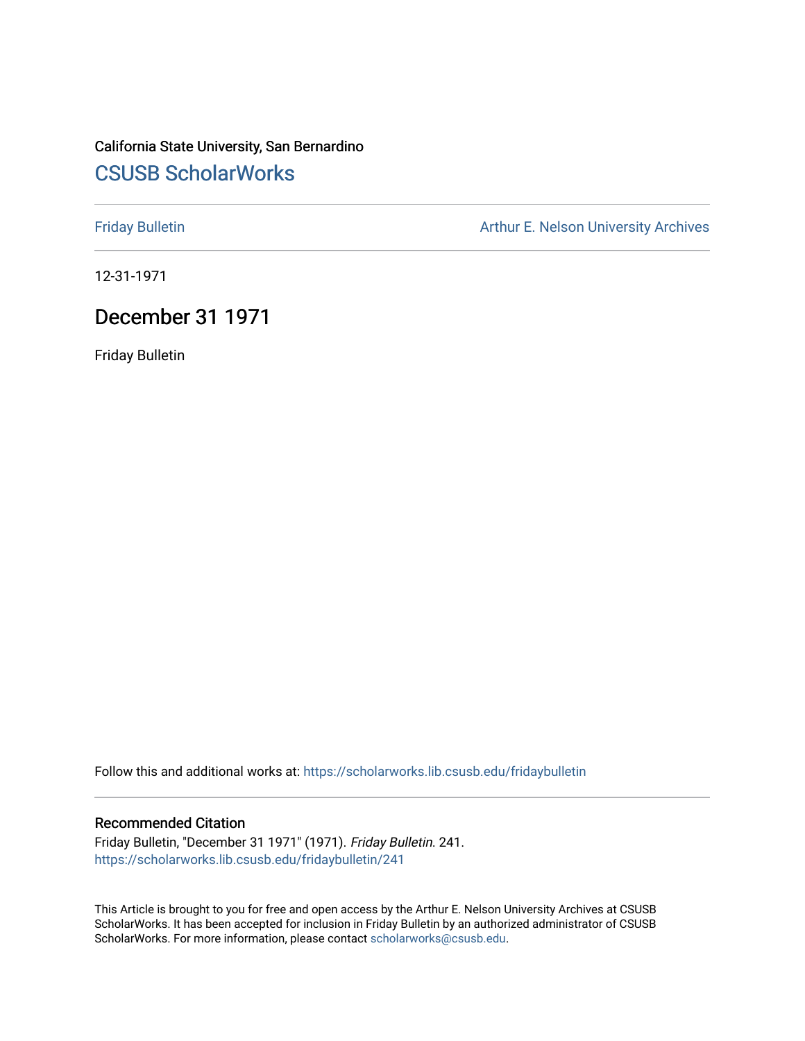## California State University, San Bernardino [CSUSB ScholarWorks](https://scholarworks.lib.csusb.edu/)

[Friday Bulletin](https://scholarworks.lib.csusb.edu/fridaybulletin) **Arthur E. Nelson University Archives** Arthur E. Nelson University Archives

12-31-1971

## December 31 1971

Friday Bulletin

Follow this and additional works at: [https://scholarworks.lib.csusb.edu/fridaybulletin](https://scholarworks.lib.csusb.edu/fridaybulletin?utm_source=scholarworks.lib.csusb.edu%2Ffridaybulletin%2F241&utm_medium=PDF&utm_campaign=PDFCoverPages)

#### Recommended Citation

Friday Bulletin, "December 31 1971" (1971). Friday Bulletin. 241. [https://scholarworks.lib.csusb.edu/fridaybulletin/241](https://scholarworks.lib.csusb.edu/fridaybulletin/241?utm_source=scholarworks.lib.csusb.edu%2Ffridaybulletin%2F241&utm_medium=PDF&utm_campaign=PDFCoverPages)

This Article is brought to you for free and open access by the Arthur E. Nelson University Archives at CSUSB ScholarWorks. It has been accepted for inclusion in Friday Bulletin by an authorized administrator of CSUSB ScholarWorks. For more information, please contact [scholarworks@csusb.edu.](mailto:scholarworks@csusb.edu)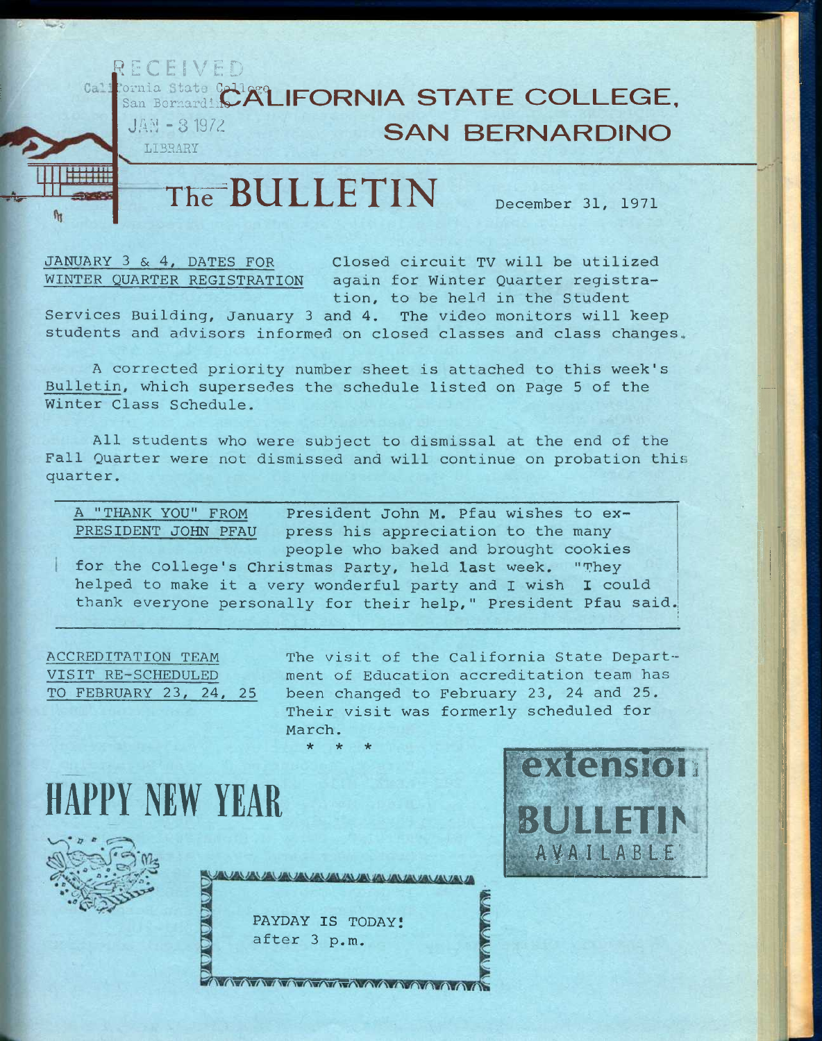### **RECEIVED**<br>**California** state Cell San BernardinC<sup>21</sup> **ALIFORNIA STATE COLLEGE. JAN - 3 1972** LIBRARY **SAN BERNARDINO**

# **THrBULLETIN December 31, 1971**

**JANUARY 3 & 4, DATES FOR Closed circuit TV will be utilized WINTER QUARTER REGISTRATION again for Winter Quarter registration, to be held in the Student** 

**Services Building, January 3 and 4. The video monitors will keep students and advisors informed on closed classes and class changes,** 

**A corrected priority number sheet is attached to this week's Bulletin, which supersedes the schedule listed on Page 5 of the**  Winter Class Schedule.

**All students who were subject to dismissal at the end of the Fall Quarter were not dismissed and will continue on probation this quarter.** 

**A "THANK YOU" FROM PRESIDENT JOHN PFAU press his appreciation to the many President John M. Pfau wishes to expeople who baked and brought cookies for the College's Christmas Party, held last week. "They helped to make it a very wonderful party and I wish I could** 

**thank everyone personally for their help," President Pfau said.** 

**ACCREDITATION TEAM VISIT RE-SCHEDULED TO FEBRUARY 23, 24, 25**  **The visit of the California State Department of Education accreditation team has been changed to February 23, 24 and 25. Their visit was formerly scheduled for March. \* \* \*** 

**HAPPY NEW YEAR** 



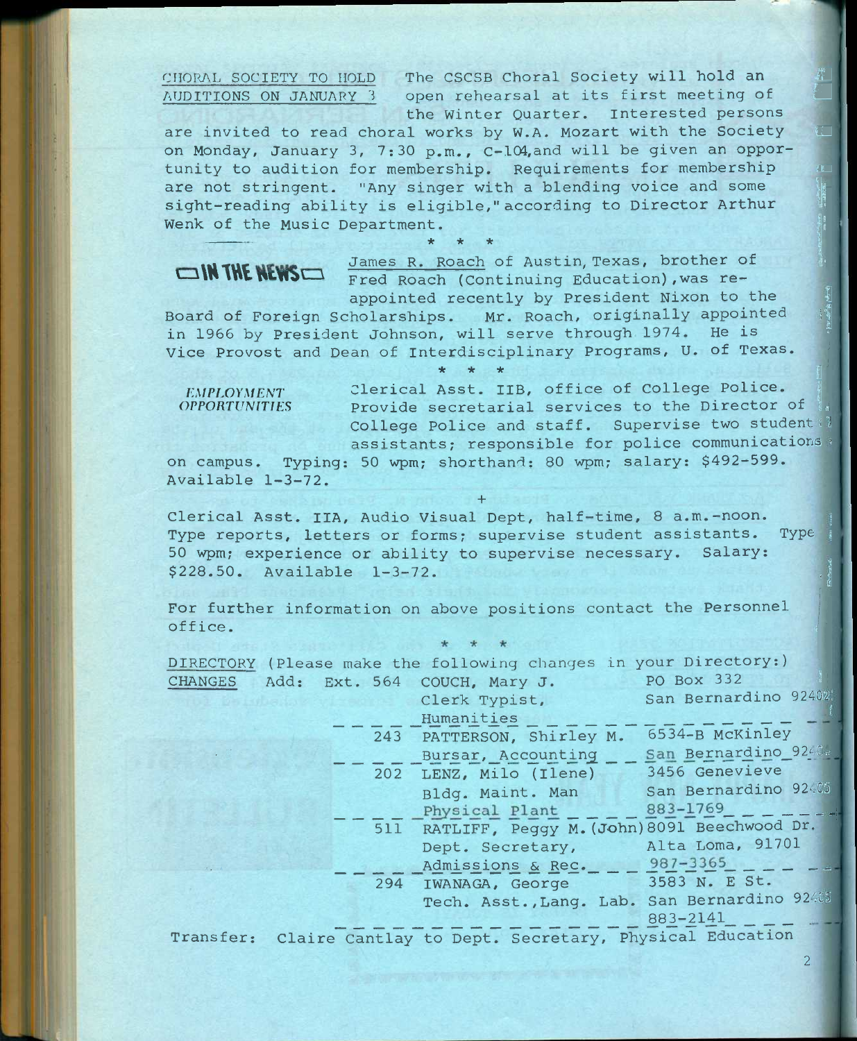CHORAL SOCIETY TO HOLD The CSCSB Choral Society will hold an <br>AUDITIONS ON JANUARY 3 open rehearsal at its first meeting of open rehearsal at its first meeting of **the Winter Quarter. Interested persons** 

are invited to read choral works by W.A. Mozart with the Society **on Monday, January 3, 7:30 p.m., C-lC4,and will be given an oppor**tunity to audition for membership. Requirements for membership are not stringent. "Any singer with a blending voice and some sight-reading ability is eligible," according to Director Arthur Wenk of the Music Department.

**\* \* \* I 11 TUC MCMACHOON BOOK R. ROACH OF Austin, Texas, brother of the state of the state of the state of the state of the state of the state of the state of the state of the state of the state of the state of the state of the s**  $\Box$ **IN THE NEWS** Fred Roach (Continuing Education), was reappointed recently by President Nixon to the

Board of Foreign Scholarships. Mr. Roach, originally appointed in 1966 by President Johnson, will serve through 1974. He is **Vice Provost and Dean of Interdisciplinary Programs, U. of Texas.** 

*\** \* \*<br> *EMPLOYMENT* Clerical Asst. IIB, office of College Police.<br> *OPPORTUNITIES* Provide secretarial services to the Director Provide secretarial services to the Director of **College Police and staff. Supervise two student:! assistants; responsible for police communications ^** 

*•k ic -k I* 

**on campus. Typing: 50 wpm; shorthand: 80 wpm; salary: \$492-599. Available 1-3-72.** 

**+** 

Clerical Asst. IIA, Audio Visual Dept, half-time, 8 a.m.-noon. **Type reports, letters or forms; supervise student assistants. Type \ 50 wpm; experience or ability to supervise necessary. Salary:**  \$228.50. Available 1-3-72.

**For further information on above positions contact the Personnel office. •:** 

|           |  | DIRECTORY (Please make the following changes in your Directory:) |                      |
|-----------|--|------------------------------------------------------------------|----------------------|
|           |  | CHANGES Add: Ext. 564 COUCH, Mary J. PO Box 332                  |                      |
|           |  | Clerk Typist,                                                    | San Bernardino 92402 |
|           |  | Humanities                                                       |                      |
|           |  | 243 PATTERSON, Shirley M.                                        | 6534-B McKinley      |
|           |  | Bursar, Accounting                                               | San Bernardino 9240. |
|           |  | 202 LENZ, Milo (Ilene) 3456 Genevieve                            |                      |
|           |  | Bldg. Maint. Man                                                 | San Bernardino 92-05 |
|           |  | Physical Plant 883-1769                                          |                      |
|           |  | 511 RATLIFF, Peggy M. (John) 8091 Beechwood Dr.                  |                      |
|           |  | Dept. Secretary, Alta Loma, 91701                                |                      |
|           |  | Admissions & Rec. 987-3365                                       |                      |
|           |  | 294 IWANAGA, George 3583 N. E St.                                |                      |
|           |  | Tech. Asst., Lang. Lab. San Bernardino 92405                     |                      |
|           |  |                                                                  | 883-2141             |
| Transfer: |  | Claire Cantlay to Dept. Secretary, Physical Education            |                      |

**2**